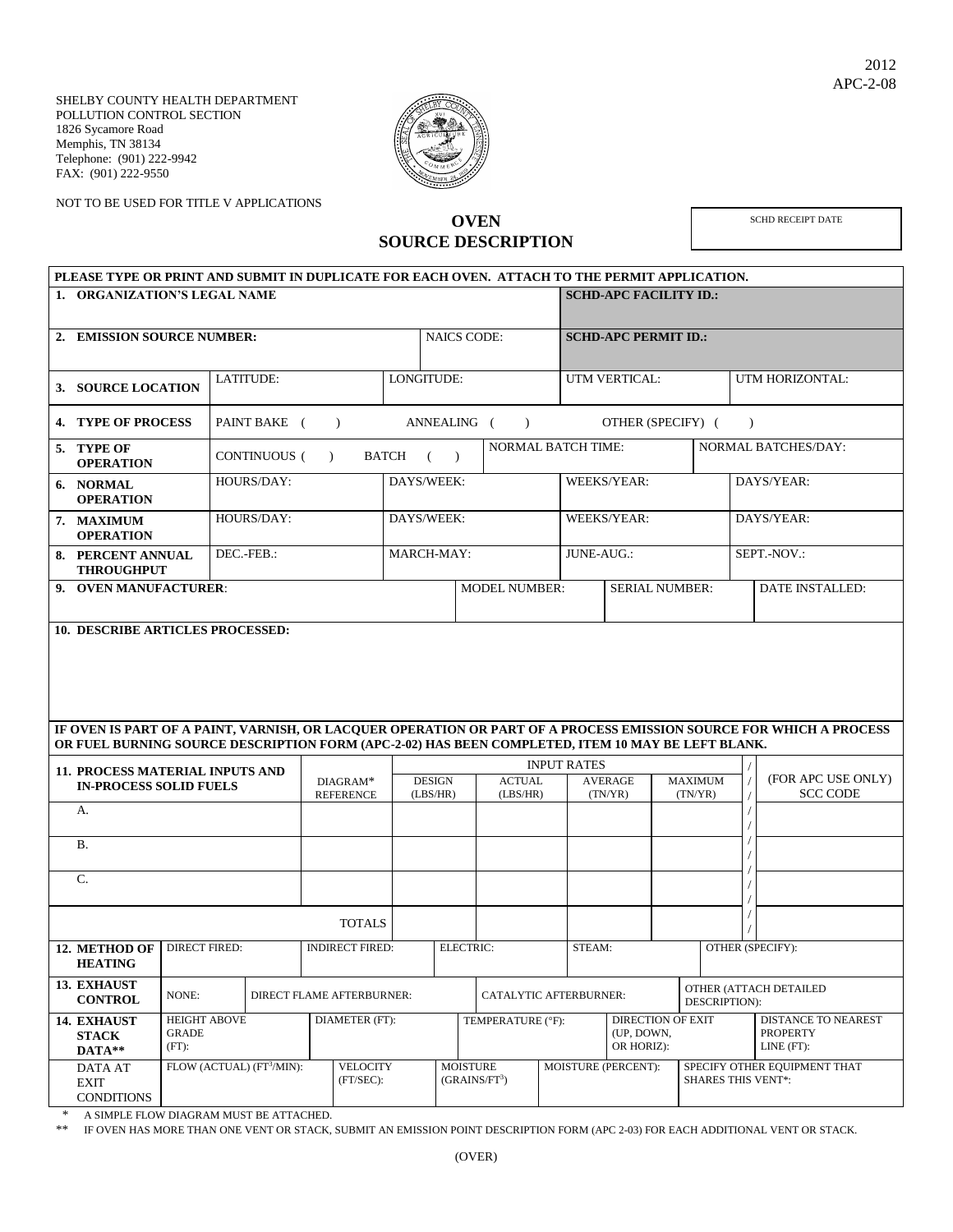

NOT TO BE USED FOR TITLE V APPLICATIONS

## **OVEN SOURCE DESCRIPTION**

SCHD RECEIPT DATE

| PLEASE TYPE OR PRINT AND SUBMIT IN DUPLICATE FOR EACH OVEN. ATTACH TO THE PERMIT APPLICATION.<br>1. ORGANIZATION'S LEGAL NAME |                                                                                                   |                          |                  |                           |            |               |                           |               | <b>SCHD-APC FACILITY ID.:</b> |                |                              |                                         |                                                                                                                    |  |  |
|-------------------------------------------------------------------------------------------------------------------------------|---------------------------------------------------------------------------------------------------|--------------------------|------------------|---------------------------|------------|---------------|---------------------------|---------------|-------------------------------|----------------|------------------------------|-----------------------------------------|--------------------------------------------------------------------------------------------------------------------|--|--|
|                                                                                                                               |                                                                                                   |                          |                  |                           |            |               |                           |               |                               |                |                              |                                         |                                                                                                                    |  |  |
| 2. EMISSION SOURCE NUMBER:                                                                                                    |                                                                                                   |                          |                  |                           |            |               | <b>NAICS CODE:</b>        |               | <b>SCHD-APC PERMIT ID.:</b>   |                |                              |                                         |                                                                                                                    |  |  |
|                                                                                                                               |                                                                                                   |                          |                  |                           |            |               |                           |               |                               |                |                              |                                         |                                                                                                                    |  |  |
|                                                                                                                               | 3. SOURCE LOCATION                                                                                |                          | <b>LATITUDE:</b> |                           |            |               | LONGITUDE:                |               | UTM VERTICAL:                 |                |                              |                                         | UTM HORIZONTAL:                                                                                                    |  |  |
|                                                                                                                               | <b>4. TYPE OF PROCESS</b>                                                                         |                          | PAINT BAKE (     | $\rightarrow$             |            |               | ANNEALING ()              |               | OTHER (SPECIFY) (             |                |                              | $\lambda$                               |                                                                                                                    |  |  |
|                                                                                                                               | 5. TYPE OF<br><b>OPERATION</b>                                                                    |                          | CONTINUOUS ( )   |                           | BATCH ()   |               | <b>NORMAL BATCH TIME:</b> |               |                               |                | NORMAL BATCHES/DAY:          |                                         |                                                                                                                    |  |  |
|                                                                                                                               | 6. NORMAL<br><b>OPERATION</b>                                                                     |                          | HOURS/DAY:       |                           |            | DAYS/WEEK:    |                           |               | <b>WEEKS/YEAR:</b>            |                | DAYS/YEAR:                   |                                         |                                                                                                                    |  |  |
|                                                                                                                               | 7. MAXIMUM<br><b>OPERATION</b>                                                                    |                          | HOURS/DAY:       |                           | DAYS/WEEK: |               |                           |               | WEEKS/YEAR:                   |                | DAYS/YEAR:                   |                                         |                                                                                                                    |  |  |
|                                                                                                                               | 8. PERCENT ANNUAL<br><b>THROUGHPUT</b>                                                            |                          | DEC.-FEB.:       |                           |            | MARCH-MAY:    |                           |               | JUNE-AUG.:                    |                |                              |                                         | SEPT.-NOV.:                                                                                                        |  |  |
| 9. OVEN MANUFACTURER:                                                                                                         |                                                                                                   |                          |                  |                           |            |               | <b>MODEL NUMBER:</b>      |               | <b>SERIAL NUMBER:</b>         |                |                              |                                         | <b>DATE INSTALLED:</b>                                                                                             |  |  |
|                                                                                                                               | <b>10. DESCRIBE ARTICLES PROCESSED:</b>                                                           |                          |                  |                           |            |               |                           |               |                               |                |                              |                                         |                                                                                                                    |  |  |
|                                                                                                                               |                                                                                                   |                          |                  |                           |            |               |                           |               |                               |                |                              |                                         |                                                                                                                    |  |  |
|                                                                                                                               |                                                                                                   |                          |                  |                           |            |               |                           |               |                               |                |                              |                                         |                                                                                                                    |  |  |
|                                                                                                                               |                                                                                                   |                          |                  |                           |            |               |                           |               |                               |                |                              |                                         |                                                                                                                    |  |  |
|                                                                                                                               |                                                                                                   |                          |                  |                           |            |               |                           |               |                               |                |                              |                                         |                                                                                                                    |  |  |
|                                                                                                                               |                                                                                                   |                          |                  |                           |            |               |                           |               |                               |                |                              |                                         | IF OVEN IS PART OF A PAINT, VARNISH, OR LACQUER OPERATION OR PART OF A PROCESS EMISSION SOURCE FOR WHICH A PROCESS |  |  |
|                                                                                                                               | OR FUEL BURNING SOURCE DESCRIPTION FORM (APC-2-02) HAS BEEN COMPLETED, ITEM 10 MAY BE LEFT BLANK. |                          |                  |                           |            |               |                           |               |                               |                |                              |                                         |                                                                                                                    |  |  |
|                                                                                                                               |                                                                                                   |                          |                  |                           |            |               |                           |               | <b>INPUT RATES</b>            |                |                              |                                         |                                                                                                                    |  |  |
| <b>11. PROCESS MATERIAL INPUTS AND</b><br><b>IN-PROCESS SOLID FUELS</b>                                                       |                                                                                                   |                          |                  | DIAGRAM*                  |            | <b>DESIGN</b> |                           | <b>ACTUAL</b> |                               | <b>AVERAGE</b> | <b>MAXIMUM</b>               |                                         | (FOR APC USE ONLY)                                                                                                 |  |  |
| A.                                                                                                                            |                                                                                                   |                          |                  | <b>REFERENCE</b>          |            | (LBS/HR)      | (LBS/HR)                  |               | (TN/YP)                       |                | (TN/YR)                      |                                         | <b>SCC CODE</b>                                                                                                    |  |  |
|                                                                                                                               |                                                                                                   |                          |                  |                           |            |               |                           |               |                               |                |                              |                                         |                                                                                                                    |  |  |
|                                                                                                                               | <b>B.</b>                                                                                         |                          |                  |                           |            |               |                           |               |                               |                |                              |                                         |                                                                                                                    |  |  |
|                                                                                                                               | $C_{\cdot}$                                                                                       |                          |                  |                           |            |               |                           |               |                               |                |                              |                                         |                                                                                                                    |  |  |
|                                                                                                                               |                                                                                                   |                          |                  |                           |            |               |                           |               |                               |                |                              |                                         |                                                                                                                    |  |  |
|                                                                                                                               |                                                                                                   |                          |                  | <b>TOTALS</b>             |            |               |                           |               |                               |                |                              |                                         |                                                                                                                    |  |  |
|                                                                                                                               | 12. METHOD OF DIRECT FIRED:<br><b>HEATING</b>                                                     |                          |                  | <b>INDIRECT FIRED:</b>    |            |               | <b>ELECTRIC:</b>          |               | STEAM:                        |                |                              | OTHER (SPECIFY):                        |                                                                                                                    |  |  |
|                                                                                                                               | 13. EXHAUST<br><b>CONTROL</b>                                                                     | NONE:                    |                  | DIRECT FLAME AFTERBURNER: |            |               | CATALYTIC AFTERBURNER:    |               |                               |                |                              | OTHER (ATTACH DETAILED<br>DESCRIPTION): |                                                                                                                    |  |  |
|                                                                                                                               | 14. EXHAUST                                                                                       | <b>HEIGHT ABOVE</b>      |                  | DIAMETER (FT):            |            |               | TEMPERATURE (°F):         |               |                               |                | <b>DIRECTION OF EXIT</b>     |                                         | DISTANCE TO NEAREST                                                                                                |  |  |
|                                                                                                                               | <b>STACK</b><br>DATA**                                                                            | <b>GRADE</b><br>$(FT)$ : |                  |                           |            |               |                           |               | (UP, DOWN,<br>OR HORIZ):      |                |                              |                                         | <b>PROPERTY</b><br>LINE (FT):                                                                                      |  |  |
|                                                                                                                               | FLOW (ACTUAL) (FT3/MIN):<br>DATA AT<br><b>EXIT</b><br><b>CONDITIONS</b>                           |                          |                  | <b>VELOCITY</b>           |            |               | <b>MOISTURE</b>           |               | MOISTURE (PERCENT):           |                | SPECIFY OTHER EQUIPMENT THAT |                                         |                                                                                                                    |  |  |
|                                                                                                                               |                                                                                                   |                          |                  | (FT/SEC):                 |            |               | $(GRAINS/FT^3)$           |               |                               |                | <b>SHARES THIS VENT*:</b>    |                                         |                                                                                                                    |  |  |

\* A SIMPLE FLOW DIAGRAM MUST BE ATTACHED.<br>\*\* IF OVEN HAS MORE THAN ONE VENT OR STACK

IF OVEN HAS MORE THAN ONE VENT OR STACK, SUBMIT AN EMISSION POINT DESCRIPTION FORM (APC 2-03) FOR EACH ADDITIONAL VENT OR STACK.